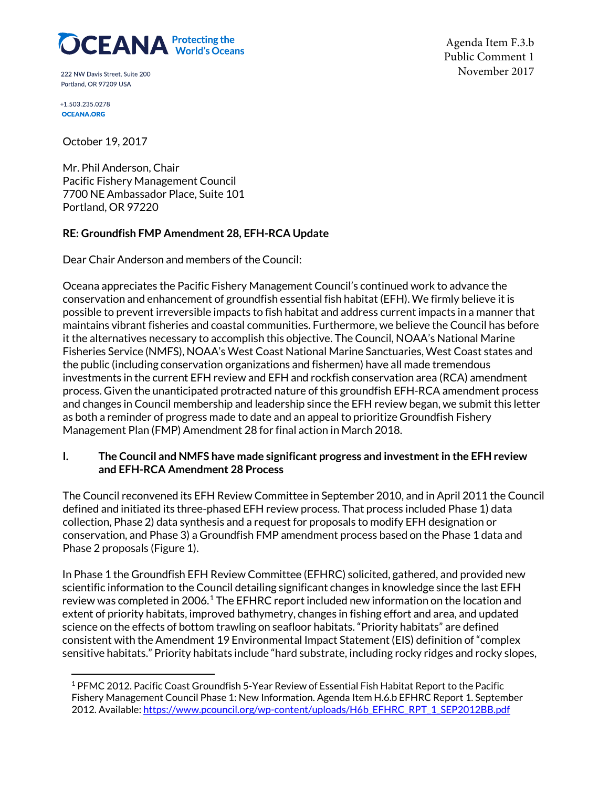# **OCEANA** Protecting the

222 NW Davis Street, Suite 200 Portland, OR 97209 USA

+1.503.235.0278 **OCEANA.ORG** 

Agenda Item F.3.b Public Comment 1 November 2017

October 19, 2017

Mr. Phil Anderson, Chair Pacific Fishery Management Council 7700 NE Ambassador Place, Suite 101 Portland, OR 97220

# **RE: Groundfish FMP Amendment 28, EFH-RCA Update**

Dear Chair Anderson and members of the Council:

Oceana appreciates the Pacific Fishery Management Council's continued work to advance the conservation and enhancement of groundfish essential fish habitat (EFH). We firmly believe it is possible to prevent irreversible impacts to fish habitat and address currentimpacts in a manner that maintains vibrant fisheries and coastal communities. Furthermore, we believe the Council has before it the alternatives necessary to accomplish this objective. The Council, NOAA's National Marine Fisheries Service (NMFS), NOAA's West Coast National Marine Sanctuaries, West Coast states and the public (including conservation organizations and fishermen) have all made tremendous investments in the current EFH review and EFH and rockfish conservation area (RCA) amendment process. Given the unanticipated protracted nature of this groundfish EFH-RCA amendment process and changes in Council membership and leadership since the EFH review began, we submit this letter as both a reminder of progress made to date and an appeal to prioritize Groundfish Fishery Management Plan (FMP) Amendment 28 for final action in March 2018.

## **I. The Council and NMFS have made significant progress and investment in the EFH review and EFH-RCA Amendment 28 Process**

The Council reconvened its EFH Review Committee in September 2010, and in April 2011 the Council defined and initiated its three-phased EFH review process. That process included Phase 1) data collection, Phase 2) data synthesis and a request for proposals to modify EFH designation or conservation, and Phase 3) a Groundfish FMP amendment process based on the Phase 1 data and Phase 2 proposals (Figure 1).

In Phase 1 the Groundfish EFH Review Committee (EFHRC) solicited, gathered, and provided new scientific information to the Council detailing significant changes in knowledge since the last EFH review was completed in 2006.<sup>[1](#page-0-0)</sup> The EFHRC report included new information on the location and extent of priority habitats, improved bathymetry, changes in fishing effort and area, and updated science on the effects of bottom trawling on seafloor habitats. "Priority habitats" are defined consistent with the Amendment 19 Environmental Impact Statement (EIS) definition of "complex sensitive habitats." Priority habitats include "hard substrate, including rocky ridges and rocky slopes,

<span id="page-0-0"></span><sup>1</sup> PFMC 2012. Pacific Coast Groundfish 5-Year Review of Essential Fish Habitat Report to the Pacific Fishery Management Council Phase 1: New Information. Agenda Item H.6.b EFHRC Report 1. September 2012. Available: https://www.pcouncil.org/wp-content/uploads/H6b\_EFHRC\_RPT\_1\_SEP2012BB.pdf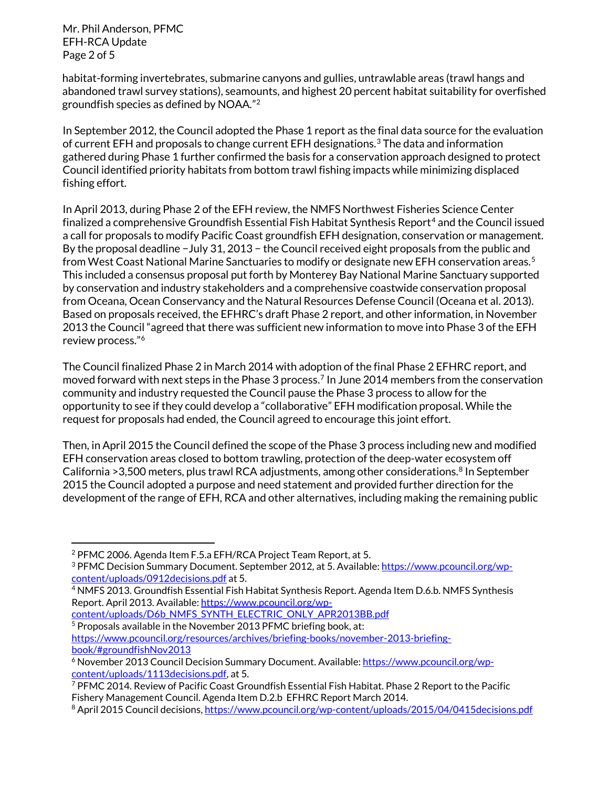Mr. Phil Anderson, PFMC EFH-RCA Update Page 2 of 5

habitat-forming invertebrates, submarine canyons and gullies, untrawlable areas (trawl hangs and abandoned trawl survey stations), seamounts, and highest 20 percent habitat suitability for overfished groundfish species as defined by NOAA."[2](#page-1-0) 

In September 2012, the Council adopted the Phase 1 report as the final data source for the evaluation of current EFH and proposals to change current EFH designations.<sup>3</sup> The data and information gathered during Phase 1 further confirmed the basis for a conservation approach designed to protect Council identified priority habitats from bottom trawl fishing impacts while minimizing displaced fishing effort.

In April 2013, during Phase 2 of the EFH review, the NMFS Northwest Fisheries Science Center finalized a comprehensive Groundfish Essential Fish Habitat Synthesis Report<sup>[4](#page-1-2)</sup> and the Council issued a call for proposals to modify Pacific Coast groundfish EFH designation, conservation or management. By the proposal deadline −July 31, 2013 − the Council received eight proposals from the public and from West Coast National Marine Sanctuaries to modify or designate new EFH conservation areas.<sup>[5](#page-1-3)</sup> This included a consensus proposal put forth by Monterey Bay National Marine Sanctuary supported by conservation and industry stakeholders and a comprehensive coastwide conservation proposal from Oceana, Ocean Conservancy and the Natural Resources Defense Council (Oceana et al. 2013). Based on proposals received, the EFHRC's draft Phase 2 report, and other information, in November 2013 the Council "agreed that there was sufficient new information to move into Phase 3 of the EFH review process."[6](#page-1-4) 

The Council finalized Phase 2 in March 2014 with adoption of the final Phase 2 EFHRC report, and moved forward with next steps in the Phase 3 process.<sup>[7](#page-1-5)</sup> In June 2014 members from the conservation community and industry requested the Council pause the Phase 3 process to allow for the opportunity to see if they could develop a "collaborative" EFH modification proposal. While the request for proposals had ended, the Council agreed to encourage this joint effort.

Then, in April 2015 the Council defined the scope of the Phase 3 process including new and modified EFH conservation areas closed to bottom trawling, protection of the deep-water ecosystem off California >3,500 meters, plus trawl RCA adjustments, among other considerations.<sup>[8](#page-1-6)</sup> In September 2015 the Council adopted a purpose and need statement and provided further direction for the development of the range of EFH, RCA and other alternatives, including making the remaining public

<span id="page-1-3"></span>content/uploads/D6b\_NMFS\_SYNTH\_ELECTRIC\_ONLY\_APR2013BB.pdf<br><sup>5</sup> Proposals available in the November 2013 PFMC briefing book, at:

[https://www.pcouncil.org/resources/archives/briefing-books/november-2013-briefing](https://www.pcouncil.org/resources/archives/briefing-books/november-2013-briefing-book/#groundfishNov2013)book/#groundfishNov2013<br><sup>6</sup> November 2013 Council Decision Summary Document. Available: <u>https://www.pcouncil.org/wp-</u>

<span id="page-1-0"></span><sup>2</sup> PFMC 2006. Agenda Item F.5.a EFH/RCA Project Team Report, at 5.

<span id="page-1-1"></span><sup>&</sup>lt;sup>3</sup> PFMC Decision Summary Document. September 2012, at 5. Available: [https://www.pcouncil.org/wp](https://www.pcouncil.org/wp-content/uploads/0912decisions.pdf)[content/uploads/0912decisions.pdf](https://www.pcouncil.org/wp-content/uploads/0912decisions.pdf) at 5.

<span id="page-1-2"></span><sup>4</sup> NMFS 2013. Groundfish Essential Fish Habitat Synthesis Report. Agenda Item D.6.b. NMFS Synthesis Report. April 2013. Available[: https://www.pcouncil.org/wp-](https://www.pcouncil.org/wp-content/uploads/D6b_NMFS_SYNTH_ELECTRIC_ONLY_APR2013BB.pdf)

<span id="page-1-4"></span>[content/uploads/1113decisions.pdf,](https://www.pcouncil.org/wp-content/uploads/1113decisions.pdf) at 5.

<span id="page-1-5"></span><sup>7</sup> PFMC 2014. Review of Pacific Coast Groundfish Essential Fish Habitat. Phase 2 Report to the Pacific Fishery Management Council. Agenda Item D.2.b EFHRC Report March 2014.

<span id="page-1-6"></span><sup>8</sup> April 2015 Council decisions,<https://www.pcouncil.org/wp-content/uploads/2015/04/0415decisions.pdf>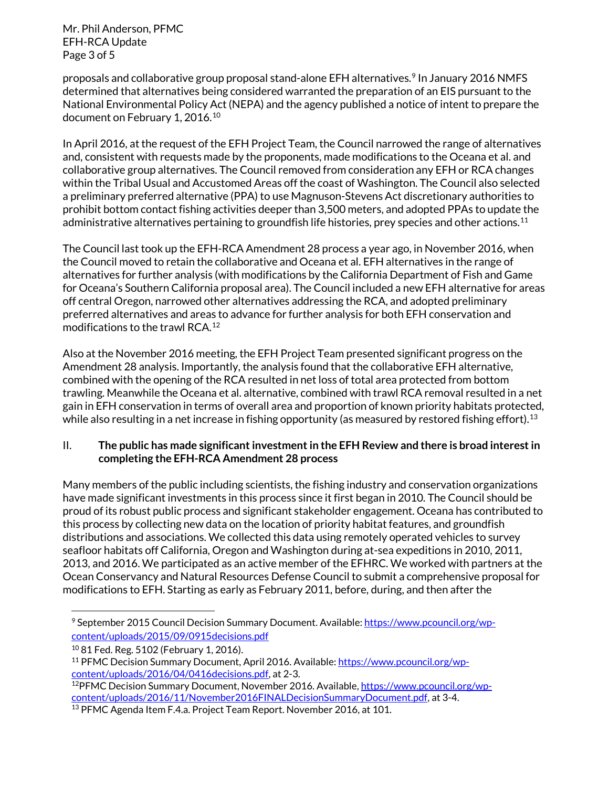Mr. Phil Anderson, PFMC EFH-RCA Update Page 3 of 5

proposals and collaborative group proposal stand-alone EFH alternatives.<sup>[9](#page-2-0)</sup> In January 2016 NMFS determined that alternatives being considered warranted the preparation of an EIS pursuant to the National Environmental Policy Act (NEPA) and the agency published a notice of intent to prepare the document on February 1, 2016.<sup>[10](#page-2-1)</sup>

In April 2016, at the request of the EFH Project Team, the Council narrowed the range of alternatives and, consistent with requests made by the proponents, made modifications to the Oceana et al. and collaborative group alternatives. The Council removed from consideration any EFH or RCA changes within the Tribal Usual and Accustomed Areas off the coast of Washington. The Council also selected a preliminary preferred alternative (PPA) to use Magnuson-Stevens Act discretionary authorities to prohibit bottom contact fishing activities deeper than 3,500 meters, and adopted PPAs to update the administrative alternatives pertaining to groundfish life histories, prey species and other actions.<sup>[11](#page-2-2)</sup>

The Council last took up the EFH-RCA Amendment 28 process a year ago, in November 2016, when the Council moved to retain the collaborative and Oceana et al. EFH alternatives in the range of alternatives for further analysis (with modifications by the California Department of Fish and Game for Oceana's Southern California proposal area). The Council included a new EFH alternative for areas off central Oregon, narrowed other alternatives addressing the RCA, and adopted preliminary preferred alternatives and areas to advance for further analysis for both EFH conservation and modifications to the trawl RCA. [12](#page-2-3)

Also at the November 2016 meeting, the EFH Project Team presented significant progress on the Amendment 28 analysis. Importantly, the analysis found that the collaborative EFH alternative, combined with the opening of the RCA resulted in net loss of total area protected from bottom trawling. Meanwhile the Oceana et al. alternative, combined with trawl RCA removal resulted in a net gain in EFH conservation in terms of overall area and proportion of known priority habitats protected, while also resulting in a net increase in fishing opportunity (as measured by restored fishing effort). $^{\rm 13}$  $^{\rm 13}$  $^{\rm 13}$ 

### II. **The public has made significant investment in the EFH Review and there is broad interest in completing the EFH-RCA Amendment 28 process**

Many members of the public including scientists, the fishing industry and conservation organizations have made significant investments in this process since it first began in 2010. The Council should be proud of its robust public process and significant stakeholder engagement. Oceana has contributed to this process by collecting new data on the location of priority habitat features, and groundfish distributions and associations. We collected this data using remotely operated vehicles to survey seafloor habitats off California, Oregon and Washington during at-sea expeditions in 2010, 2011, 2013, and 2016. We participated as an active member of the EFHRC. We worked with partners at the Ocean Conservancy and Natural Resources Defense Council to submit a comprehensive proposal for modifications to EFH. Starting as early as February 2011, before, during, and then after the

<span id="page-2-0"></span>l 9 September 2015 Council Decision Summary Document. Available[: https://www.pcouncil.org/wp](https://www.pcouncil.org/wp-content/uploads/2015/09/0915decisions.pdf)[content/uploads/2015/09/0915decisions.pdf](https://www.pcouncil.org/wp-content/uploads/2015/09/0915decisions.pdf)

<sup>10</sup> 81 Fed. Reg. 5102 (February 1, 2016).

<span id="page-2-2"></span><span id="page-2-1"></span><sup>&</sup>lt;sup>11</sup> PFMC Decision Summary Document, April 2016. Available[: https://www.pcouncil.org/wp](https://www.pcouncil.org/wp-content/uploads/2016/04/0416decisions.pdf)[content/uploads/2016/04/0416decisions.pdf,](https://www.pcouncil.org/wp-content/uploads/2016/04/0416decisions.pdf) at 2-3.

<span id="page-2-3"></span><sup>12</sup>PFMC Decision Summary Document, November 2016. Available[, https://www.pcouncil.org/wp](https://www.pcouncil.org/wp-content/uploads/2016/11/November2016FINALDecisionSummaryDocument.pdf)[content/uploads/2016/11/November2016FINALDecisionSummaryDocument.pdf,](https://www.pcouncil.org/wp-content/uploads/2016/11/November2016FINALDecisionSummaryDocument.pdf) at 3-4.

<span id="page-2-4"></span><sup>&</sup>lt;sup>13</sup> PFMC Agenda Item F.4.a. Project Team Report. November 2016, at 101.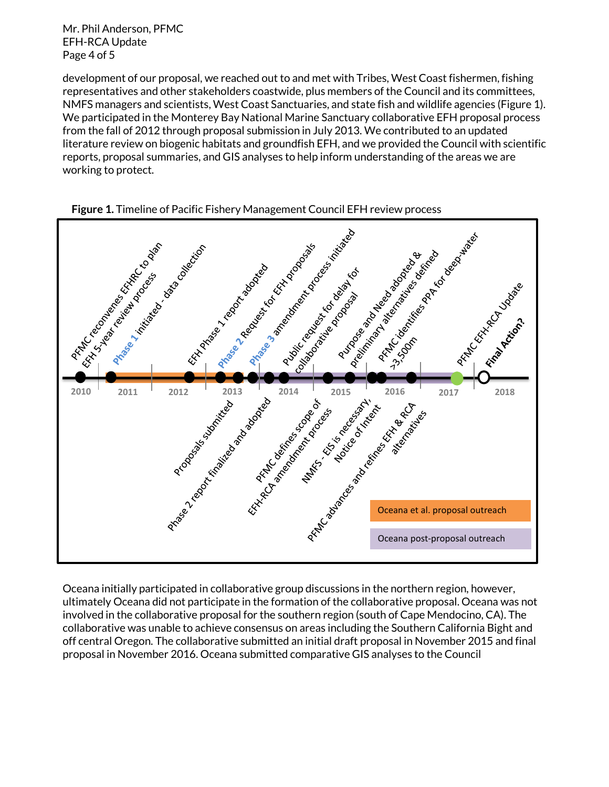Mr. Phil Anderson, PFMC EFH-RCA Update Page 4 of 5

development of our proposal, we reached out to and met with Tribes, West Coast fishermen, fishing representatives and other stakeholders coastwide, plus members of the Council and its committees, NMFS managers and scientists, West Coast Sanctuaries, and state fish and wildlife agencies (Figure 1). We participated in the Monterey Bay National Marine Sanctuary collaborative EFH proposal process from the fall of 2012 through proposal submission in July 2013. We contributed to an updated literature review on biogenic habitats and groundfish EFH, and we provided the Council with scientific reports, proposal summaries, and GIS analyses to help inform understanding of the areas we are working to protect.





Oceana initially participated in collaborative group discussions in the northern region, however, ultimately Oceana did not participate in the formation of the collaborative proposal. Oceana was not involved in the collaborative proposal for the southern region (south of Cape Mendocino, CA). The collaborative was unable to achieve consensus on areas including the Southern California Bight and off central Oregon. The collaborative submitted an initial draft proposal in November 2015 and final proposal in November 2016. Oceana submitted comparative GIS analyses to the Council